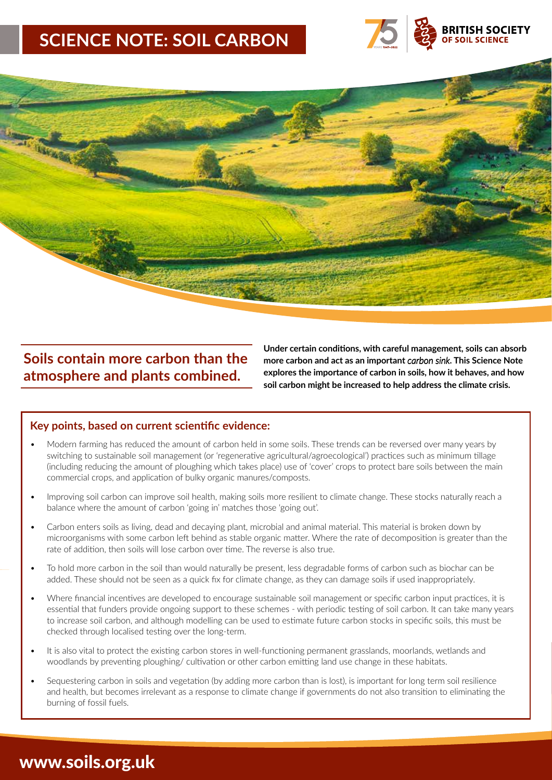# **SCIENCE NOTE: SOIL CARBON**





## **Soils contain more carbon than the atmosphere and plants combined.**

**Under certain conditions, with careful management, soils can absorb more carbon and act as an important** *carbon sink***. This Science Note explores the importance of carbon in soils, how it behaves, and how soil carbon might be increased to help address the climate crisis.**

### **Key points, based on current scientific evidence:**

- Modern farming has reduced the amount of carbon held in some soils. These trends can be reversed over many years by switching to sustainable soil management (or 'regenerative agricultural/agroecological') practices such as minimum tillage (including reducing the amount of ploughing which takes place) use of 'cover' crops to protect bare soils between the main commercial crops, and application of bulky organic manures/composts.
- Improving soil carbon can improve soil health, making soils more resilient to climate change. These stocks naturally reach a balance where the amount of carbon 'going in' matches those 'going out'.
- Carbon enters soils as living, dead and decaying plant, microbial and animal material. This material is broken down by microorganisms with some carbon left behind as stable organic matter. Where the rate of decomposition is greater than the rate of addition, then soils will lose carbon over time. The reverse is also true.
- To hold more carbon in the soil than would naturally be present, less degradable forms of carbon such as biochar can be added. These should not be seen as a quick fix for climate change, as they can damage soils if used inappropriately.
- Where financial incentives are developed to encourage sustainable soil management or specific carbon input practices, it is essential that funders provide ongoing support to these schemes - with periodic testing of soil carbon. It can take many years to increase soil carbon, and although modelling can be used to estimate future carbon stocks in specific soils, this must be checked through localised testing over the long-term.
- It is also vital to protect the existing carbon stores in well-functioning permanent grasslands, moorlands, wetlands and woodlands by preventing ploughing/ cultivation or other carbon emitting land use change in these habitats.
- Sequestering carbon in soils and vegetation (by adding more carbon than is lost), is important for long term soil resilience and health, but becomes irrelevant as a response to climate change if governments do not also transition to eliminating the burning of fossil fuels.

## www.soils.org.uk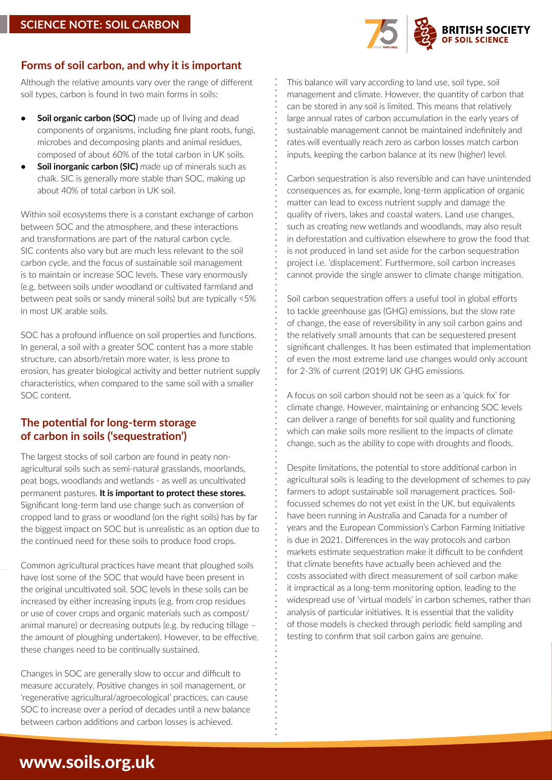

### **Forms of soil carbon, and why it is important**

Although the relative amounts vary over the range of different soil types, carbon is found in two main forms in soils:

- **• Soil organic carbon (SOC)** made up of living and dead components of organisms, including fine plant roots, fungi, microbes and decomposing plants and animal residues, composed of about 60% of the total carbon in UK soils.
- **• Soil inorganic carbon (SIC)** made up of minerals such as chalk. SIC is generally more stable than SOC, making up about 40% of total carbon in UK soil.

Within soil ecosystems there is a constant exchange of carbon between SOC and the atmosphere, and these interactions and transformations are part of the natural carbon cycle. SIC contents also vary but are much less relevant to the soil carbon cycle, and the focus of sustainable soil management is to maintain or increase SOC levels. These vary enormously (e.g. between soils under woodland or cultivated farmland and between peat soils or sandy mineral soils) but are typically <5% in most UK arable soils.

SOC has a profound influence on soil properties and functions. In general, a soil with a greater SOC content has a more stable structure, can absorb/retain more water, is less prone to erosion, has greater biological activity and better nutrient supply characteristics, when compared to the same soil with a smaller SOC content.

## **The potential for long-term storage of carbon in soils ('sequestration')**

The largest stocks of soil carbon are found in peaty nonagricultural soils such as semi-natural grasslands, moorlands, peat bogs, woodlands and wetlands - as well as uncultivated permanent pastures. **It is important to protect these stores.** Significant long-term land use change such as conversion of cropped land to grass or woodland (on the right soils) has by far the biggest impact on SOC but is unrealistic as an option due to the continued need for these soils to produce food crops.

Common agricultural practices have meant that ploughed soils have lost some of the SOC that would have been present in the original uncultivated soil. SOC levels in these soils can be increased by either increasing inputs (e.g. from crop residues or use of cover crops and organic materials such as compost/ animal manure) or decreasing outputs (e.g. by reducing tillage – the amount of ploughing undertaken). However, to be effective, these changes need to be continually sustained.

Changes in SOC are generally slow to occur and difficult to measure accurately. Positive changes in soil management, or 'regenerative agricultural/agroecological' practices, can cause SOC to increase over a period of decades until a new balance between carbon additions and carbon losses is achieved.

This balance will vary according to land use, soil type, soil management and climate. However, the quantity of carbon that can be stored in any soil is limited. This means that relatively large annual rates of carbon accumulation in the early years of sustainable management cannot be maintained indefinitely and rates will eventually reach zero as carbon losses match carbon inputs, keeping the carbon balance at its new (higher) level.

Carbon sequestration is also reversible and can have unintended consequences as, for example, long-term application of organic matter can lead to excess nutrient supply and damage the quality of rivers, lakes and coastal waters. Land use changes, such as creating new wetlands and woodlands, may also result in deforestation and cultivation elsewhere to grow the food that is not produced in land set aside for the carbon sequestration project i.e. 'displacement'. Furthermore, soil carbon increases cannot provide the single answer to climate change mitigation.

Soil carbon sequestration offers a useful tool in global efforts to tackle greenhouse gas (GHG) emissions, but the slow rate of change, the ease of reversibility in any soil carbon gains and the relatively small amounts that can be sequestered present significant challenges. It has been estimated that implementation of even the most extreme land use changes would only account for 2-3% of current (2019) UK GHG emissions.

A focus on soil carbon should not be seen as a 'quick fix' for climate change. However, maintaining or enhancing SOC levels can deliver a range of benefits for soil quality and functioning which can make soils more resilient to the impacts of climate change, such as the ability to cope with droughts and floods.

Despite limitations, the potential to store additional carbon in agricultural soils is leading to the development of schemes to pay farmers to adopt sustainable soil management practices. Soilfocussed schemes do not yet exist in the UK, but equivalents have been running in Australia and Canada for a number of years and the European Commission's Carbon Farming Initiative is due in 2021. Differences in the way protocols and carbon markets estimate sequestration make it difficult to be confident that climate benefits have actually been achieved and the costs associated with direct measurement of soil carbon make it impractical as a long-term monitoring option, leading to the widespread use of 'virtual models' in carbon schemes, rather than analysis of particular initiatives. It is essential that the validity of those models is checked through periodic field sampling and testing to confirm that soil carbon gains are genuine.

# www.soils.org.uk